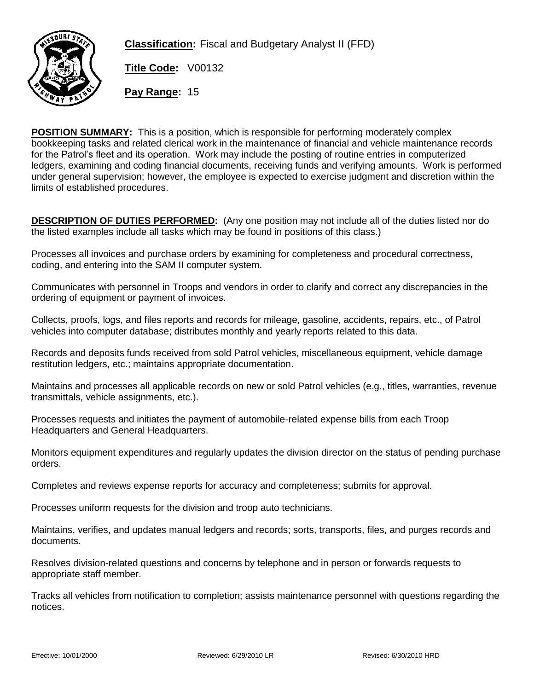

**Classification:** Fiscal and Budgetary Analyst II (FFD)

**Title Code:** V00132

**Pay Range:** 15

**POSITION SUMMARY:** This is a position, which is responsible for performing moderately complex bookkeeping tasks and related clerical work in the maintenance of financial and vehicle maintenance records for the Patrol's fleet and its operation. Work may include the posting of routine entries in computerized ledgers, examining and coding financial documents, receiving funds and verifying amounts. Work is performed under general supervision; however, the employee is expected to exercise judgment and discretion within the limits of established procedures.

**DESCRIPTION OF DUTIES PERFORMED:** (Any one position may not include all of the duties listed nor do the listed examples include all tasks which may be found in positions of this class.)

Processes all invoices and purchase orders by examining for completeness and procedural correctness, coding, and entering into the SAM II computer system.

Communicates with personnel in Troops and vendors in order to clarify and correct any discrepancies in the ordering of equipment or payment of invoices.

Collects, proofs, logs, and files reports and records for mileage, gasoline, accidents, repairs, etc., of Patrol vehicles into computer database; distributes monthly and yearly reports related to this data.

Records and deposits funds received from sold Patrol vehicles, miscellaneous equipment, vehicle damage restitution ledgers, etc.; maintains appropriate documentation.

Maintains and processes all applicable records on new or sold Patrol vehicles (e.g., titles, warranties, revenue transmittals, vehicle assignments, etc.).

Processes requests and initiates the payment of automobile-related expense bills from each Troop Headquarters and General Headquarters.

Monitors equipment expenditures and regularly updates the division director on the status of pending purchase orders.

Completes and reviews expense reports for accuracy and completeness; submits for approval.

Processes uniform requests for the division and troop auto technicians.

Maintains, verifies, and updates manual ledgers and records; sorts, transports, files, and purges records and documents.

Resolves division-related questions and concerns by telephone and in person or forwards requests to appropriate staff member.

Tracks all vehicles from notification to completion; assists maintenance personnel with questions regarding the notices.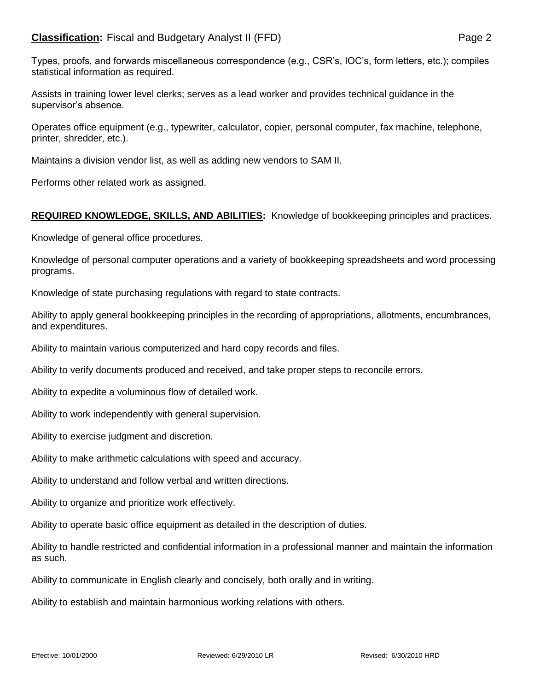## **Classification:** Fiscal and Budgetary Analyst II (FFD) **Page 2** Page 2

Types, proofs, and forwards miscellaneous correspondence (e.g., CSR's, IOC's, form letters, etc.); compiles statistical information as required.

Assists in training lower level clerks; serves as a lead worker and provides technical guidance in the supervisor's absence.

Operates office equipment (e.g., typewriter, calculator, copier, personal computer, fax machine, telephone, printer, shredder, etc.).

Maintains a division vendor list, as well as adding new vendors to SAM II.

Performs other related work as assigned.

## **REQUIRED KNOWLEDGE, SKILLS, AND ABILITIES:** Knowledge of bookkeeping principles and practices.

Knowledge of general office procedures.

Knowledge of personal computer operations and a variety of bookkeeping spreadsheets and word processing programs.

Knowledge of state purchasing regulations with regard to state contracts.

Ability to apply general bookkeeping principles in the recording of appropriations, allotments, encumbrances, and expenditures.

Ability to maintain various computerized and hard copy records and files.

Ability to verify documents produced and received, and take proper steps to reconcile errors.

Ability to expedite a voluminous flow of detailed work.

Ability to work independently with general supervision.

Ability to exercise judgment and discretion.

Ability to make arithmetic calculations with speed and accuracy.

Ability to understand and follow verbal and written directions.

Ability to organize and prioritize work effectively.

Ability to operate basic office equipment as detailed in the description of duties.

Ability to handle restricted and confidential information in a professional manner and maintain the information as such.

Ability to communicate in English clearly and concisely, both orally and in writing.

Ability to establish and maintain harmonious working relations with others.